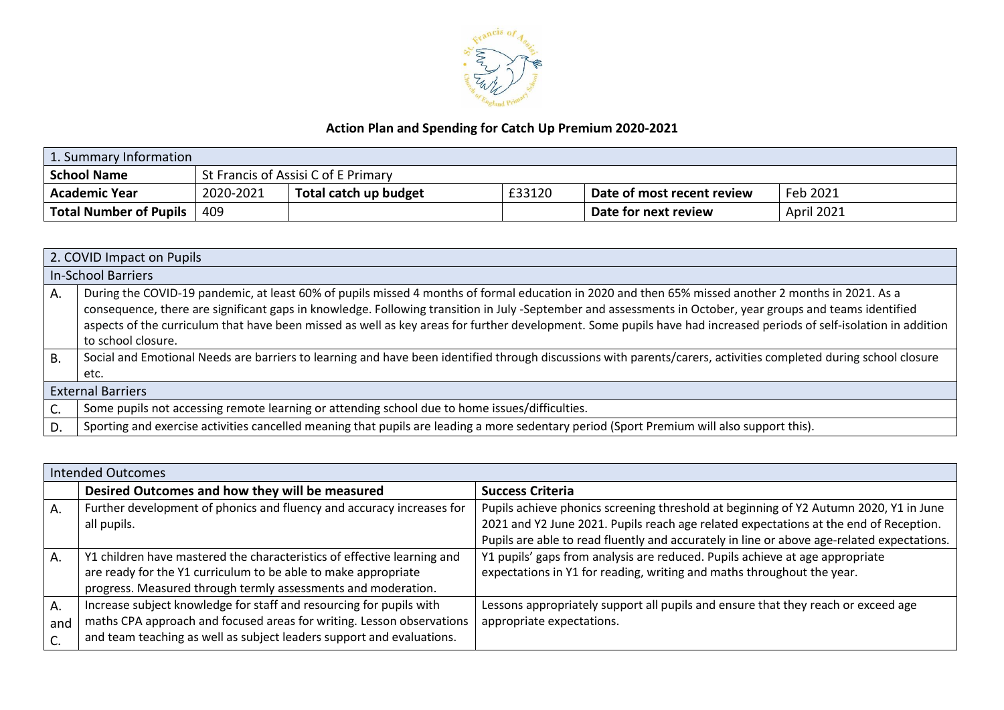

## **Action Plan and Spending for Catch Up Premium 2020-2021**

| 1. Summary Information        |                                     |                       |        |                            |                   |
|-------------------------------|-------------------------------------|-----------------------|--------|----------------------------|-------------------|
| <b>School Name</b>            | St Francis of Assisi C of E Primary |                       |        |                            |                   |
| <b>Academic Year</b>          | 2020-2021                           | Total catch up budget | £33120 | Date of most recent review | Feb 2021          |
| <b>Total Number of Pupils</b> | 409                                 |                       |        | Date for next review       | <b>April 2021</b> |

|           | 2. COVID Impact on Pupils                                                                                                                                                                                                                                                                                                                                                                                                                                                                                     |  |  |  |  |
|-----------|---------------------------------------------------------------------------------------------------------------------------------------------------------------------------------------------------------------------------------------------------------------------------------------------------------------------------------------------------------------------------------------------------------------------------------------------------------------------------------------------------------------|--|--|--|--|
|           | In-School Barriers                                                                                                                                                                                                                                                                                                                                                                                                                                                                                            |  |  |  |  |
| Α.        | During the COVID-19 pandemic, at least 60% of pupils missed 4 months of formal education in 2020 and then 65% missed another 2 months in 2021. As a<br>consequence, there are significant gaps in knowledge. Following transition in July -September and assessments in October, year groups and teams identified<br>aspects of the curriculum that have been missed as well as key areas for further development. Some pupils have had increased periods of self-isolation in addition<br>to school closure. |  |  |  |  |
| <b>B.</b> | Social and Emotional Needs are barriers to learning and have been identified through discussions with parents/carers, activities completed during school closure<br>etc.                                                                                                                                                                                                                                                                                                                                      |  |  |  |  |
|           | <b>External Barriers</b>                                                                                                                                                                                                                                                                                                                                                                                                                                                                                      |  |  |  |  |
| C.        | Some pupils not accessing remote learning or attending school due to home issues/difficulties.                                                                                                                                                                                                                                                                                                                                                                                                                |  |  |  |  |
| D.        | Sporting and exercise activities cancelled meaning that pupils are leading a more sedentary period (Sport Premium will also support this).                                                                                                                                                                                                                                                                                                                                                                    |  |  |  |  |

|                    | Intended Outcomes                                                                                                                                                                                                     |                                                                                                                                                                                                                                                                              |  |  |  |
|--------------------|-----------------------------------------------------------------------------------------------------------------------------------------------------------------------------------------------------------------------|------------------------------------------------------------------------------------------------------------------------------------------------------------------------------------------------------------------------------------------------------------------------------|--|--|--|
|                    | Desired Outcomes and how they will be measured                                                                                                                                                                        | <b>Success Criteria</b>                                                                                                                                                                                                                                                      |  |  |  |
| A.                 | Further development of phonics and fluency and accuracy increases for<br>all pupils.                                                                                                                                  | Pupils achieve phonics screening threshold at beginning of Y2 Autumn 2020, Y1 in June<br>2021 and Y2 June 2021. Pupils reach age related expectations at the end of Reception.<br>Pupils are able to read fluently and accurately in line or above age-related expectations. |  |  |  |
| A.                 | Y1 children have mastered the characteristics of effective learning and<br>are ready for the Y1 curriculum to be able to make appropriate<br>progress. Measured through termly assessments and moderation.            | Y1 pupils' gaps from analysis are reduced. Pupils achieve at age appropriate<br>expectations in Y1 for reading, writing and maths throughout the year.                                                                                                                       |  |  |  |
| A.<br>and<br>$C$ . | Increase subject knowledge for staff and resourcing for pupils with<br>maths CPA approach and focused areas for writing. Lesson observations<br>and team teaching as well as subject leaders support and evaluations. | Lessons appropriately support all pupils and ensure that they reach or exceed age<br>appropriate expectations.                                                                                                                                                               |  |  |  |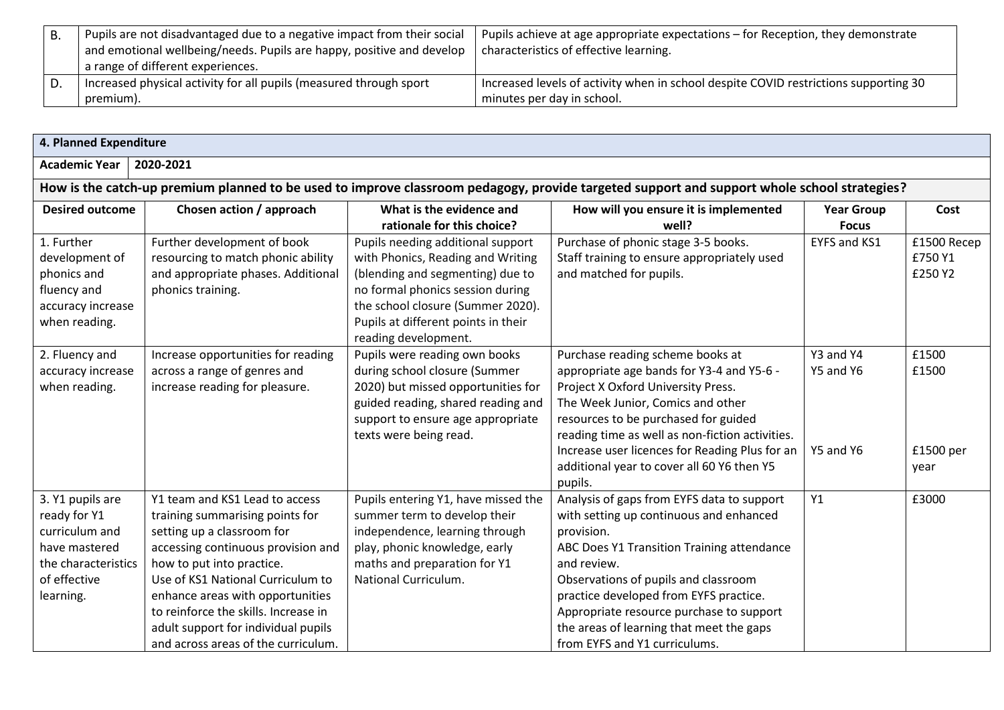| D. | Pupils are not disadvantaged due to a negative impact from their social | Pupils achieve at age appropriate expectations – for Reception, they demonstrate     |
|----|-------------------------------------------------------------------------|--------------------------------------------------------------------------------------|
|    | and emotional wellbeing/needs. Pupils are happy, positive and develop   | characteristics of effective learning.                                               |
|    | a range of different experiences.                                       |                                                                                      |
|    | Increased physical activity for all pupils (measured through sport      | Increased levels of activity when in school despite COVID restrictions supporting 30 |
|    | premium).                                                               | minutes per day in school.                                                           |

| 4. Planned Expenditure                                                                                                                      |                                                                                                                                                                                                                                                                                                                                                                   |                                                                                                                                                                                                                                                    |                                                                                                                                                                                                                                                                                                                                                                             |                                     |                                     |  |
|---------------------------------------------------------------------------------------------------------------------------------------------|-------------------------------------------------------------------------------------------------------------------------------------------------------------------------------------------------------------------------------------------------------------------------------------------------------------------------------------------------------------------|----------------------------------------------------------------------------------------------------------------------------------------------------------------------------------------------------------------------------------------------------|-----------------------------------------------------------------------------------------------------------------------------------------------------------------------------------------------------------------------------------------------------------------------------------------------------------------------------------------------------------------------------|-------------------------------------|-------------------------------------|--|
| <b>Academic Year</b><br>2020-2021                                                                                                           |                                                                                                                                                                                                                                                                                                                                                                   |                                                                                                                                                                                                                                                    |                                                                                                                                                                                                                                                                                                                                                                             |                                     |                                     |  |
| How is the catch-up premium planned to be used to improve classroom pedagogy, provide targeted support and support whole school strategies? |                                                                                                                                                                                                                                                                                                                                                                   |                                                                                                                                                                                                                                                    |                                                                                                                                                                                                                                                                                                                                                                             |                                     |                                     |  |
| <b>Desired outcome</b>                                                                                                                      | Chosen action / approach                                                                                                                                                                                                                                                                                                                                          | What is the evidence and<br>rationale for this choice?                                                                                                                                                                                             | How will you ensure it is implemented<br>well?                                                                                                                                                                                                                                                                                                                              | <b>Year Group</b><br><b>Focus</b>   | Cost                                |  |
| 1. Further<br>development of<br>phonics and<br>fluency and<br>accuracy increase<br>when reading.                                            | Further development of book<br>resourcing to match phonic ability<br>and appropriate phases. Additional<br>phonics training.                                                                                                                                                                                                                                      | Pupils needing additional support<br>with Phonics, Reading and Writing<br>(blending and segmenting) due to<br>no formal phonics session during<br>the school closure (Summer 2020).<br>Pupils at different points in their<br>reading development. | Purchase of phonic stage 3-5 books.<br>Staff training to ensure appropriately used<br>and matched for pupils.                                                                                                                                                                                                                                                               | <b>EYFS and KS1</b>                 | £1500 Recep<br>£750 Y1<br>£250 Y2   |  |
| 2. Fluency and<br>accuracy increase<br>when reading.                                                                                        | Increase opportunities for reading<br>across a range of genres and<br>increase reading for pleasure.                                                                                                                                                                                                                                                              | Pupils were reading own books<br>during school closure (Summer<br>2020) but missed opportunities for<br>guided reading, shared reading and<br>support to ensure age appropriate<br>texts were being read.                                          | Purchase reading scheme books at<br>appropriate age bands for Y3-4 and Y5-6 -<br>Project X Oxford University Press.<br>The Week Junior, Comics and other<br>resources to be purchased for guided<br>reading time as well as non-fiction activities.<br>Increase user licences for Reading Plus for an<br>additional year to cover all 60 Y6 then Y5<br>pupils.              | Y3 and Y4<br>Y5 and Y6<br>Y5 and Y6 | £1500<br>£1500<br>£1500 per<br>year |  |
| 3. Y1 pupils are<br>ready for Y1<br>curriculum and<br>have mastered<br>the characteristics<br>of effective<br>learning.                     | Y1 team and KS1 Lead to access<br>training summarising points for<br>setting up a classroom for<br>accessing continuous provision and<br>how to put into practice.<br>Use of KS1 National Curriculum to<br>enhance areas with opportunities<br>to reinforce the skills. Increase in<br>adult support for individual pupils<br>and across areas of the curriculum. | Pupils entering Y1, have missed the<br>summer term to develop their<br>independence, learning through<br>play, phonic knowledge, early<br>maths and preparation for Y1<br>National Curriculum.                                                     | Analysis of gaps from EYFS data to support<br>with setting up continuous and enhanced<br>provision.<br>ABC Does Y1 Transition Training attendance<br>and review.<br>Observations of pupils and classroom<br>practice developed from EYFS practice.<br>Appropriate resource purchase to support<br>the areas of learning that meet the gaps<br>from EYFS and Y1 curriculums. | Y1                                  | £3000                               |  |